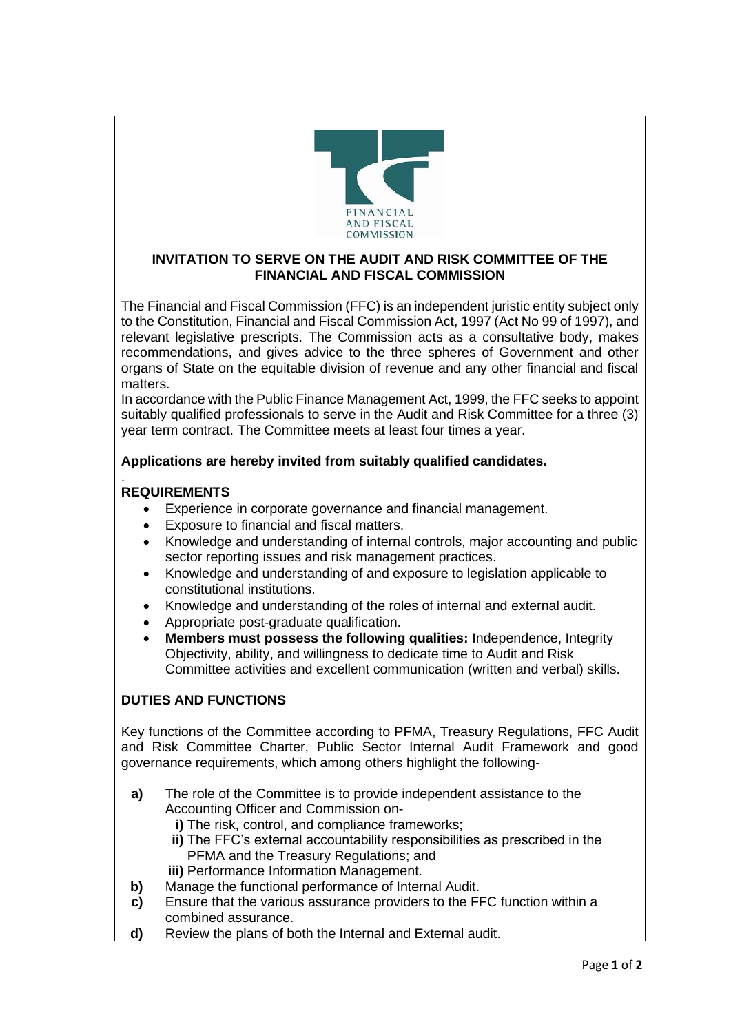

## **INVITATION TO SERVE ON THE AUDIT AND RISK COMMITTEE OF THE FINANCIAL AND FISCAL COMMISSION**

The Financial and Fiscal Commission (FFC) is an independent juristic entity subject only to the Constitution, Financial and Fiscal Commission Act, 1997 (Act No 99 of 1997), and relevant legislative prescripts. The Commission acts as a consultative body, makes recommendations, and gives advice to the three spheres of Government and other organs of State on the equitable division of revenue and any other financial and fiscal matters.

In accordance with the Public Finance Management Act, 1999, the FFC seeks to appoint suitably qualified professionals to serve in the Audit and Risk Committee for a three (3) year term contract. The Committee meets at least four times a year.

# **Applications are hereby invited from suitably qualified candidates.**

### . **REQUIREMENTS**

- Experience in corporate governance and financial management.
- Exposure to financial and fiscal matters.
- Knowledge and understanding of internal controls, major accounting and public sector reporting issues and risk management practices.
- Knowledge and understanding of and exposure to legislation applicable to constitutional institutions.
- Knowledge and understanding of the roles of internal and external audit.
- Appropriate post-graduate qualification.
- **Members must possess the following qualities:** Independence, Integrity Objectivity, ability, and willingness to dedicate time to Audit and Risk Committee activities and excellent communication (written and verbal) skills.

# **DUTIES AND FUNCTIONS**

Key functions of the Committee according to PFMA, Treasury Regulations, FFC Audit and Risk Committee Charter, Public Sector Internal Audit Framework and good governance requirements, which among others highlight the following-

- **a)** The role of the Committee is to provide independent assistance to the Accounting Officer and Commission on
	- **i)** The risk, control, and compliance frameworks;
	- **ii)** The FFC's external accountability responsibilities as prescribed in the PFMA and the Treasury Regulations; and
	- **iii)** Performance Information Management.
- **b)** Manage the functional performance of Internal Audit.
- **c)** Ensure that the various assurance providers to the FFC function within a combined assurance.
- **d)** Review the plans of both the Internal and External audit.